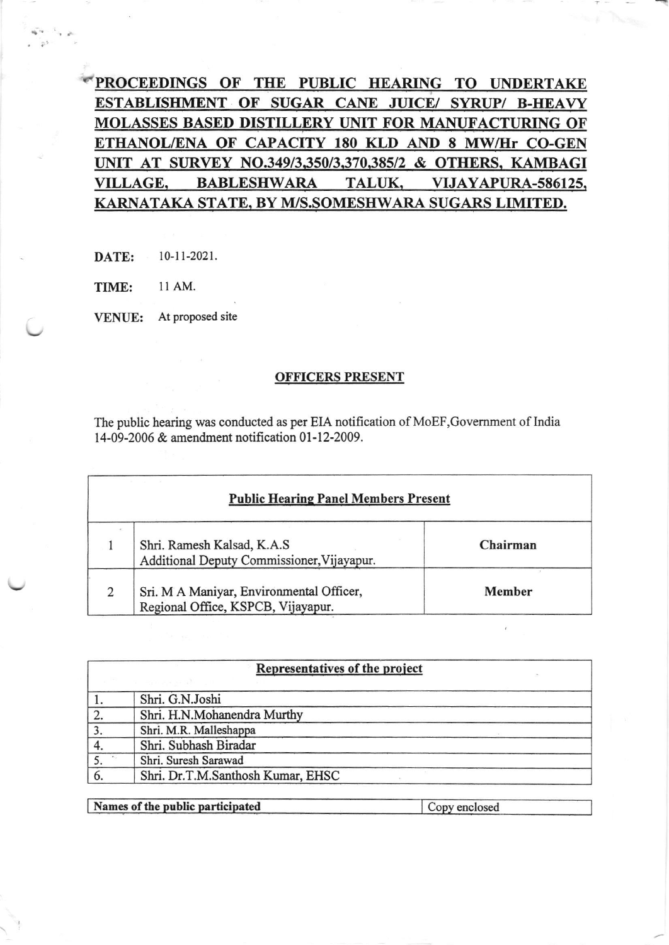PROCEEDINGS OF THE PUBLIC HEARING TO UNDERTAKE ESTABLISHMENT OF SUGAR CANE JUICE/ SYRUP/ B-HEAVY MOLASSES BASED DISTILLERY UNIT FOR MANUFACTURING OF ETHANOL/ENA OF CAPACITY 180 KLD AND 8 MW/Hr CO-GEN UNIT AT SURVEY NO.349/3,350/3,370,385/2 & OTHERS, KAMBAGI VILLAGE, BABLESHWARA TALUK, VIJAYAPURA-586125, KARNATAKA STATE, BY M/S.SOMESHWARA SUGARS LIMITED.

DATE: 10-11-2021.

TIME: ll AM.

VENUE: At proposed site

## OFFICERS PRESENT

The public hearing was conducted as per EIA notification of MoEF,Govemment of lndia 14-09-2006 & amendment notification 01-12-2009.

| <b>Public Hearing Panel Members Present</b> |                                                                                |               |
|---------------------------------------------|--------------------------------------------------------------------------------|---------------|
|                                             | Shri. Ramesh Kalsad, K.A.S<br>Additional Deputy Commissioner, Vijayapur.       | Chairman      |
|                                             | Sri. M A Maniyar, Environmental Officer,<br>Regional Office, KSPCB, Vijayapur. | <b>Member</b> |

| Representatives of the project |                                   |  |
|--------------------------------|-----------------------------------|--|
|                                |                                   |  |
|                                | Shri. G.N.Joshi                   |  |
| 2.                             | Shri. H.N.Mohanendra Murthy       |  |
|                                | Shri. M.R. Malleshappa            |  |
|                                | Shri. Subhash Biradar             |  |
|                                | Shri. Suresh Sarawad              |  |
|                                | Shri. Dr.T.M.Santhosh Kumar, EHSC |  |
|                                |                                   |  |

Names of the public participated Copy enclosed